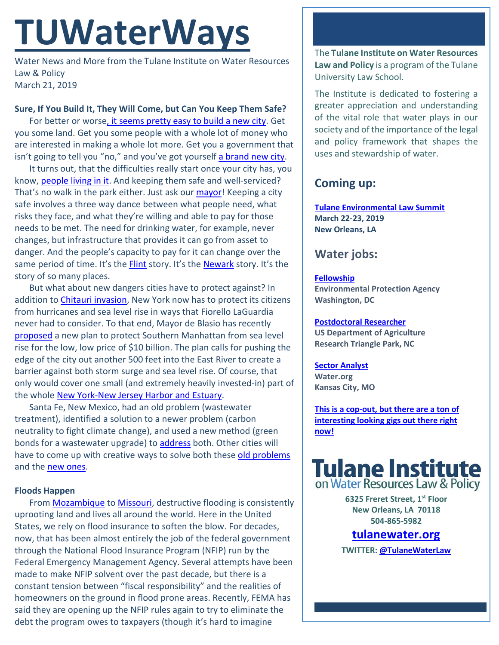# **TUWaterWays**

Water News and More from the Tulane Institute on Water Resources Law & Policy March 21, 2019

## **Sure, If You Build It, They Will Come, but Can You Keep Them Safe?**

For better or worse, it seems [pretty easy to build a new city.](https://www.forbes.com/sites/wadeshepard/2017/12/12/why-hundreds-of-completely-new-cities-are-being-built-around-the-world/#6e5dd3ee14bf) Get you some land. Get you some people with a whole lot of money who are interested in making a whole lot more. Get you a government that isn't going to tell you "no," and you've got yourself [a brand new city.](https://www.weforum.org/agenda/2018/08/smart-cities-forest-city-belmont/)

It turns out, that the difficulties really start once your city has, you know, [people living in it.](https://www.abc.net.au/news/2018-06-27/china-ghost-cities-show-growth-driven-by-debt/9912186) And keeping them safe and well-serviced? That's no walk in the park either. Just ask our **mayor!** Keeping a city safe involves a three way dance between what people need, what risks they face, and what they're willing and able to pay for those needs to be met. The need for drinking water, for example, never changes, but infrastructure that provides it can go from asset to danger. And the people's capacity to pay for it can change over the same period of time. It's the [Flint](https://psmag.com/news/why-does-flint-need-jaden-smith-to-donate-water-filters) story. It's the [Newark](https://www.njspotlight.com/stories/19/03/13/newark-begins-75m-program-to-replace-lead-water-pipes/) story. It's the story of so many places.

But what about new dangers cities have to protect against? In addition to *Chitauri invasion*, New York now has to protect its citizens from hurricanes and sea level rise in ways that Fiorello LaGuardia never had to consider. To that end, Mayor de Blasio has recently [proposed](https://www.insurancejournal.com/news/national/2019/03/15/520763.htm) a new plan to protect Southern Manhattan from sea level rise for the low, low price of \$10 billion. The plan calls for pushing the edge of the city out another 500 feet into the East River to create a barrier against both storm surge and sea level rise. Of course, that only would cover one small (and extremely heavily invested-in) part of the whol[e New York-New Jersey Harbor and Estuary.](https://www.hudsonriver.org/estuary-program)

Santa Fe, New Mexico, had an old problem (wastewater treatment), identified a solution to a newer problem (carbon neutrality to fight climate change), and used a new method (green bonds for a wastewater upgrade) to [address](https://www.abqjournal.com/1290116/santa-fe-wastewater-project-touted-as-a-first.html) both. Other cities will have to come up with creative ways to solve both these [old problems](http://www.progressivereform.org/articles/VAToxicFloodwaters.pdf) and the [new ones.](https://www.njspotlight.com/stories/19/03/18/communities-get-the-ok-to-assess-fees-to-fund-stormwater-utilities/)

## **Floods Happen**

From [Mozambique](https://www.theguardian.com/world/2019/mar/20/cyclone-idai-rising-flood-levels-threaten-mozambique-disaster-relief-effort) to [Missouri,](https://fox4kc.com/2019/03/20/levee-breach-expected-flood-craig-mo-remaining-residents-asked-to-immediately-evacuate/) destructive flooding is consistently uprooting land and lives all around the world. Here in the United States, we rely on flood insurance to soften the blow. For decades, now, that has been almost entirely the job of the federal government through the National Flood Insurance Program (NFIP) run by the Federal Emergency Management Agency. Several attempts have been made to make NFIP solvent over the past decade, but there is a constant tension between "fiscal responsibility" and the realities of homeowners on the ground in flood prone areas. Recently, FEMA has said they are opening up the NFIP rules again to try to eliminate the debt the program owes to taxpayers (though it's hard to imagine

The **Tulane Institute on Water Resources Law and Policy** is a program of the Tulane University Law School.

The Institute is dedicated to fostering a greater appreciation and understanding of the vital role that water plays in our society and of the importance of the legal and policy framework that shapes the uses and stewardship of water.

# **Coming up:**

**[Tulane Environmental Law Summit](https://tulaneenvironmentallawsummit.com/) March 22-23, 2019 New Orleans, LA**

# **Water jobs:**

### **[Fellowship](https://www.zintellect.com/Opportunity/Details/EPA-Water-2019-0007)**

**Environmental Protection Agency Washington, DC**

**[Postdoctoral Researcher](https://www.joshswaterjobs.com/jobs/13364) US Department of Agriculture Research Triangle Park, NC**

#### **[Sector Analyst](https://water.org/careers/sector-analyst-sector-engagement-team/) Water.org Kansas City, MO**

**[This is a cop-out, but there are a ton of](https://www.joshswaterjobs.com/jobs?keywords=policy&location=)  [interesting looking gigs out there right](https://www.joshswaterjobs.com/jobs?keywords=policy&location=)  [now!](https://www.joshswaterjobs.com/jobs?keywords=policy&location=)**



**6325 Freret Street, 1st Floor New Orleans, LA 70118 504-865-5982** 

# **tulanewater.org**

**TWITTER[: @TulaneWaterLaw](http://www.twitter.com/TulaneWaterLaw)**